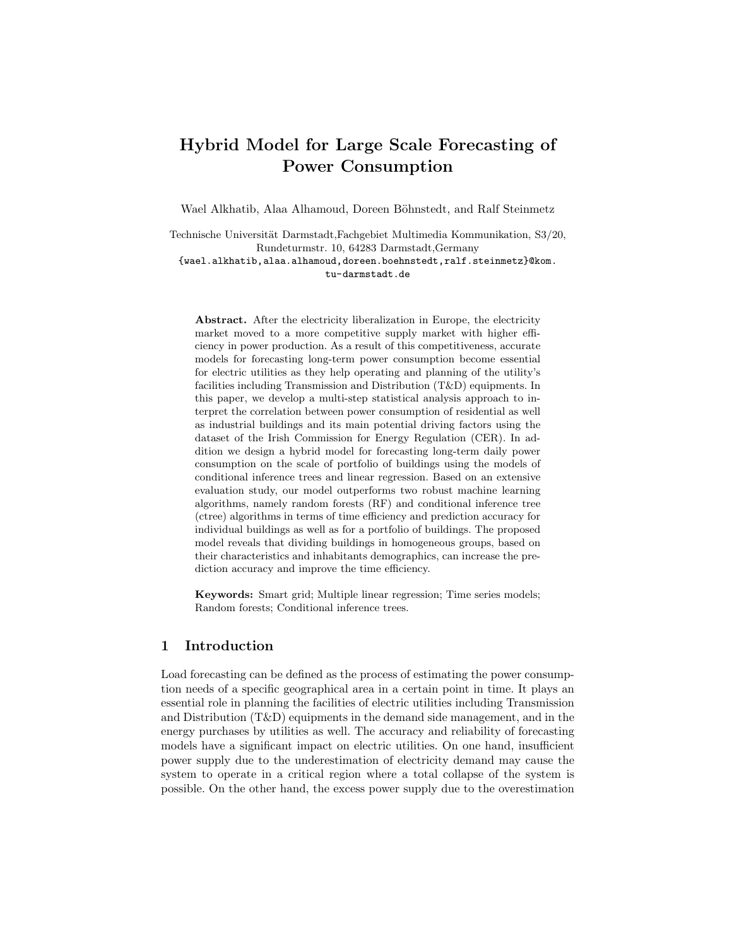# Hybrid Model for Large Scale Forecasting of Power Consumption

Wael Alkhatib, Alaa Alhamoud, Doreen Böhnstedt, and Ralf Steinmetz

Technische Universität Darmstadt,Fachgebiet Multimedia Kommunikation, S3/20, Rundeturmstr. 10, 64283 Darmstadt,Germany {wael.alkhatib,alaa.alhamoud,doreen.boehnstedt,ralf.steinmetz}@kom.

tu-darmstadt.de

Abstract. After the electricity liberalization in Europe, the electricity market moved to a more competitive supply market with higher efficiency in power production. As a result of this competitiveness, accurate models for forecasting long-term power consumption become essential for electric utilities as they help operating and planning of the utility's facilities including Transmission and Distribution (T&D) equipments. In this paper, we develop a multi-step statistical analysis approach to interpret the correlation between power consumption of residential as well as industrial buildings and its main potential driving factors using the dataset of the Irish Commission for Energy Regulation (CER). In addition we design a hybrid model for forecasting long-term daily power consumption on the scale of portfolio of buildings using the models of conditional inference trees and linear regression. Based on an extensive evaluation study, our model outperforms two robust machine learning algorithms, namely random forests (RF) and conditional inference tree (ctree) algorithms in terms of time efficiency and prediction accuracy for individual buildings as well as for a portfolio of buildings. The proposed model reveals that dividing buildings in homogeneous groups, based on their characteristics and inhabitants demographics, can increase the prediction accuracy and improve the time efficiency.

Keywords: Smart grid; Multiple linear regression; Time series models; Random forests; Conditional inference trees.

#### 1 Introduction

Load forecasting can be defined as the process of estimating the power consumption needs of a specific geographical area in a certain point in time. It plays an essential role in planning the facilities of electric utilities including Transmission and Distribution (T&D) equipments in the demand side management, and in the energy purchases by utilities as well. The accuracy and reliability of forecasting models have a significant impact on electric utilities. On one hand, insufficient power supply due to the underestimation of electricity demand may cause the system to operate in a critical region where a total collapse of the system is possible. On the other hand, the excess power supply due to the overestimation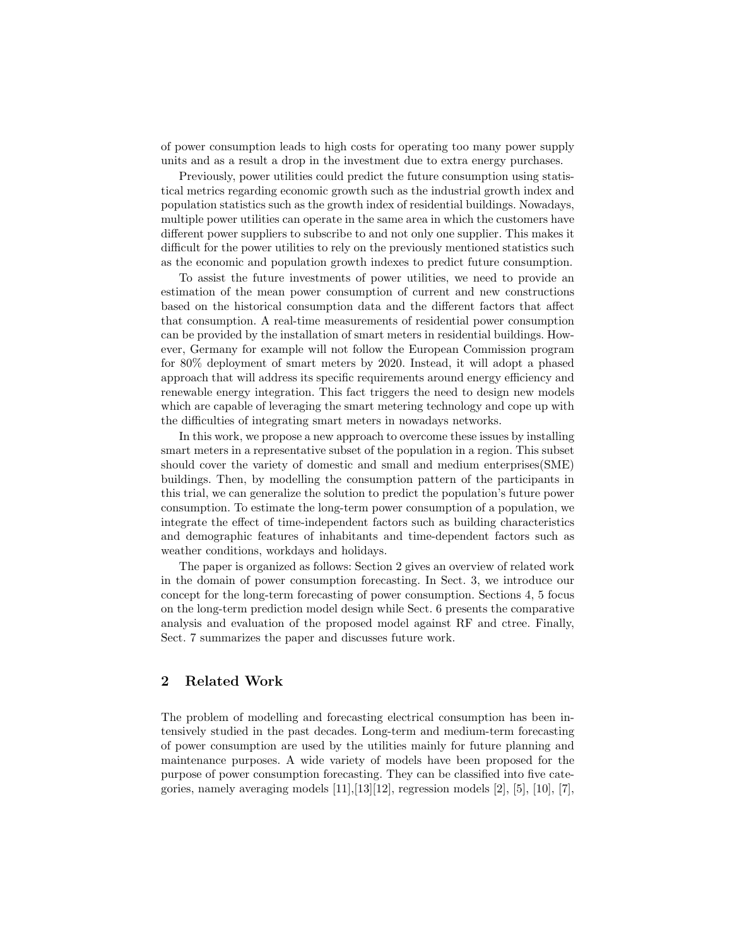of power consumption leads to high costs for operating too many power supply units and as a result a drop in the investment due to extra energy purchases.

Previously, power utilities could predict the future consumption using statistical metrics regarding economic growth such as the industrial growth index and population statistics such as the growth index of residential buildings. Nowadays, multiple power utilities can operate in the same area in which the customers have different power suppliers to subscribe to and not only one supplier. This makes it difficult for the power utilities to rely on the previously mentioned statistics such as the economic and population growth indexes to predict future consumption.

To assist the future investments of power utilities, we need to provide an estimation of the mean power consumption of current and new constructions based on the historical consumption data and the different factors that affect that consumption. A real-time measurements of residential power consumption can be provided by the installation of smart meters in residential buildings. However, Germany for example will not follow the European Commission program for 80% deployment of smart meters by 2020. Instead, it will adopt a phased approach that will address its specific requirements around energy efficiency and renewable energy integration. This fact triggers the need to design new models which are capable of leveraging the smart metering technology and cope up with the difficulties of integrating smart meters in nowadays networks.

In this work, we propose a new approach to overcome these issues by installing smart meters in a representative subset of the population in a region. This subset should cover the variety of domestic and small and medium enterprises(SME) buildings. Then, by modelling the consumption pattern of the participants in this trial, we can generalize the solution to predict the population's future power consumption. To estimate the long-term power consumption of a population, we integrate the effect of time-independent factors such as building characteristics and demographic features of inhabitants and time-dependent factors such as weather conditions, workdays and holidays.

The paper is organized as follows: Section 2 gives an overview of related work in the domain of power consumption forecasting. In Sect. 3, we introduce our concept for the long-term forecasting of power consumption. Sections 4, 5 focus on the long-term prediction model design while Sect. 6 presents the comparative analysis and evaluation of the proposed model against RF and ctree. Finally, Sect. 7 summarizes the paper and discusses future work.

## 2 Related Work

The problem of modelling and forecasting electrical consumption has been intensively studied in the past decades. Long-term and medium-term forecasting of power consumption are used by the utilities mainly for future planning and maintenance purposes. A wide variety of models have been proposed for the purpose of power consumption forecasting. They can be classified into five categories, namely averaging models  $[11], [13][12]$ , regression models  $[2], [5], [10], [7]$ ,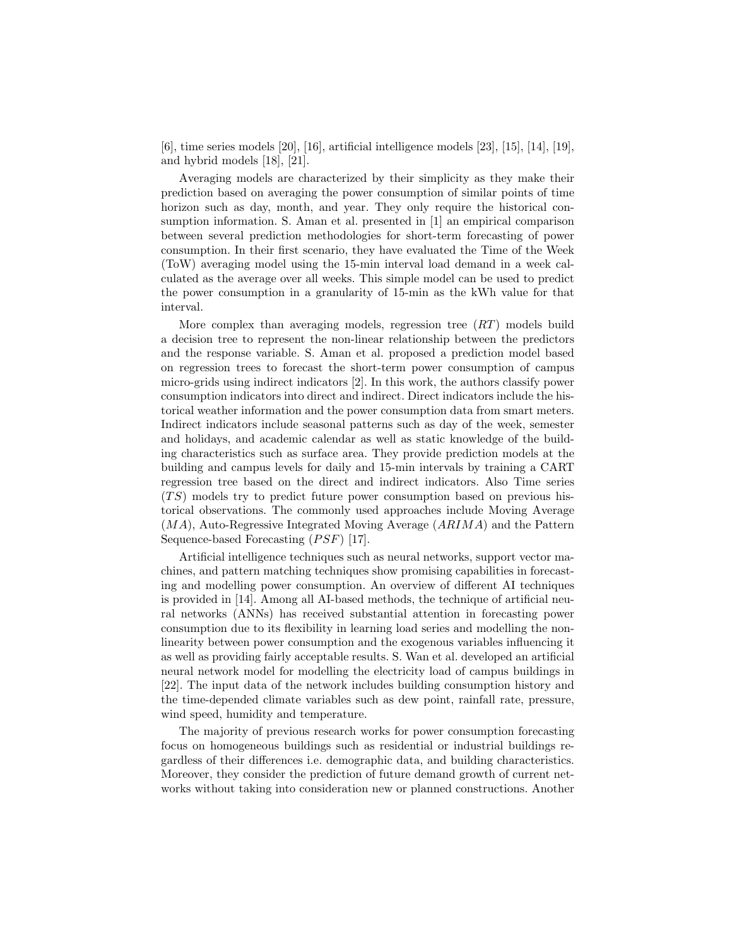[6], time series models [20], [16], artificial intelligence models [23], [15], [14], [19], and hybrid models [18], [21].

Averaging models are characterized by their simplicity as they make their prediction based on averaging the power consumption of similar points of time horizon such as day, month, and year. They only require the historical consumption information. S. Aman et al. presented in [1] an empirical comparison between several prediction methodologies for short-term forecasting of power consumption. In their first scenario, they have evaluated the Time of the Week (ToW) averaging model using the 15-min interval load demand in a week calculated as the average over all weeks. This simple model can be used to predict the power consumption in a granularity of 15-min as the kWh value for that interval.

More complex than averaging models, regression tree  $(RT)$  models build a decision tree to represent the non-linear relationship between the predictors and the response variable. S. Aman et al. proposed a prediction model based on regression trees to forecast the short-term power consumption of campus micro-grids using indirect indicators [2]. In this work, the authors classify power consumption indicators into direct and indirect. Direct indicators include the historical weather information and the power consumption data from smart meters. Indirect indicators include seasonal patterns such as day of the week, semester and holidays, and academic calendar as well as static knowledge of the building characteristics such as surface area. They provide prediction models at the building and campus levels for daily and 15-min intervals by training a CART regression tree based on the direct and indirect indicators. Also Time series  $(TS)$  models try to predict future power consumption based on previous historical observations. The commonly used approaches include Moving Average (MA), Auto-Regressive Integrated Moving Average (ARIMA) and the Pattern Sequence-based Forecasting  $(PSF)$  [17].

Artificial intelligence techniques such as neural networks, support vector machines, and pattern matching techniques show promising capabilities in forecasting and modelling power consumption. An overview of different AI techniques is provided in [14]. Among all AI-based methods, the technique of artificial neural networks (ANNs) has received substantial attention in forecasting power consumption due to its flexibility in learning load series and modelling the nonlinearity between power consumption and the exogenous variables influencing it as well as providing fairly acceptable results. S. Wan et al. developed an artificial neural network model for modelling the electricity load of campus buildings in [22]. The input data of the network includes building consumption history and the time-depended climate variables such as dew point, rainfall rate, pressure, wind speed, humidity and temperature.

The majority of previous research works for power consumption forecasting focus on homogeneous buildings such as residential or industrial buildings regardless of their differences i.e. demographic data, and building characteristics. Moreover, they consider the prediction of future demand growth of current networks without taking into consideration new or planned constructions. Another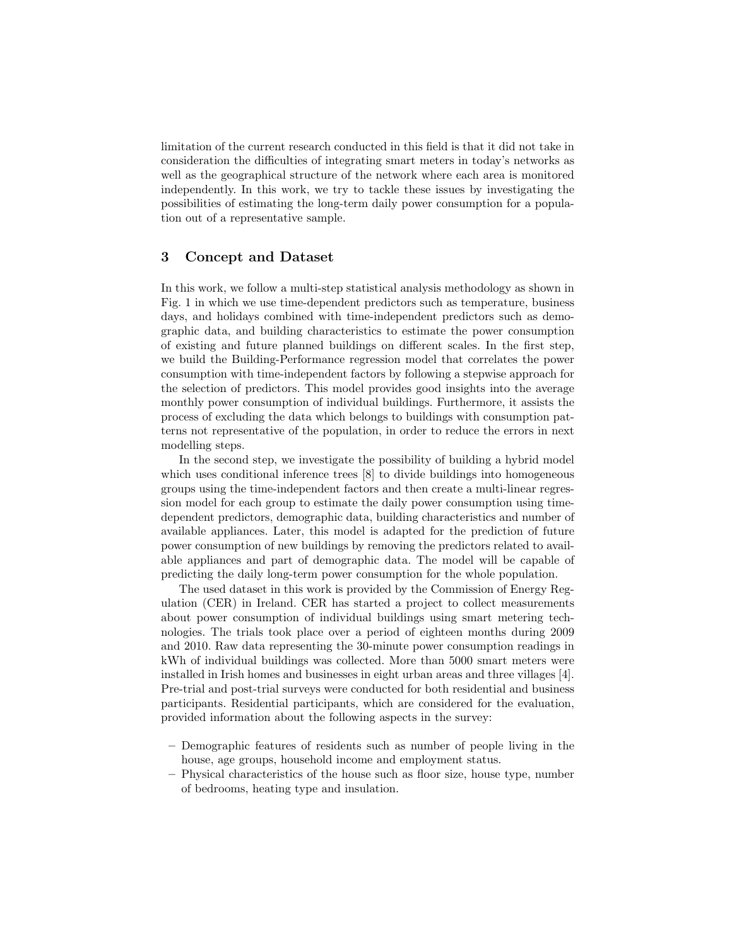limitation of the current research conducted in this field is that it did not take in consideration the difficulties of integrating smart meters in today's networks as well as the geographical structure of the network where each area is monitored independently. In this work, we try to tackle these issues by investigating the possibilities of estimating the long-term daily power consumption for a population out of a representative sample.

#### 3 Concept and Dataset

In this work, we follow a multi-step statistical analysis methodology as shown in Fig. 1 in which we use time-dependent predictors such as temperature, business days, and holidays combined with time-independent predictors such as demographic data, and building characteristics to estimate the power consumption of existing and future planned buildings on different scales. In the first step, we build the Building-Performance regression model that correlates the power consumption with time-independent factors by following a stepwise approach for the selection of predictors. This model provides good insights into the average monthly power consumption of individual buildings. Furthermore, it assists the process of excluding the data which belongs to buildings with consumption patterns not representative of the population, in order to reduce the errors in next modelling steps.

In the second step, we investigate the possibility of building a hybrid model which uses conditional inference trees [8] to divide buildings into homogeneous groups using the time-independent factors and then create a multi-linear regression model for each group to estimate the daily power consumption using timedependent predictors, demographic data, building characteristics and number of available appliances. Later, this model is adapted for the prediction of future power consumption of new buildings by removing the predictors related to available appliances and part of demographic data. The model will be capable of predicting the daily long-term power consumption for the whole population.

The used dataset in this work is provided by the Commission of Energy Regulation (CER) in Ireland. CER has started a project to collect measurements about power consumption of individual buildings using smart metering technologies. The trials took place over a period of eighteen months during 2009 and 2010. Raw data representing the 30-minute power consumption readings in kWh of individual buildings was collected. More than 5000 smart meters were installed in Irish homes and businesses in eight urban areas and three villages [4]. Pre-trial and post-trial surveys were conducted for both residential and business participants. Residential participants, which are considered for the evaluation, provided information about the following aspects in the survey:

- Demographic features of residents such as number of people living in the house, age groups, household income and employment status.
- Physical characteristics of the house such as floor size, house type, number of bedrooms, heating type and insulation.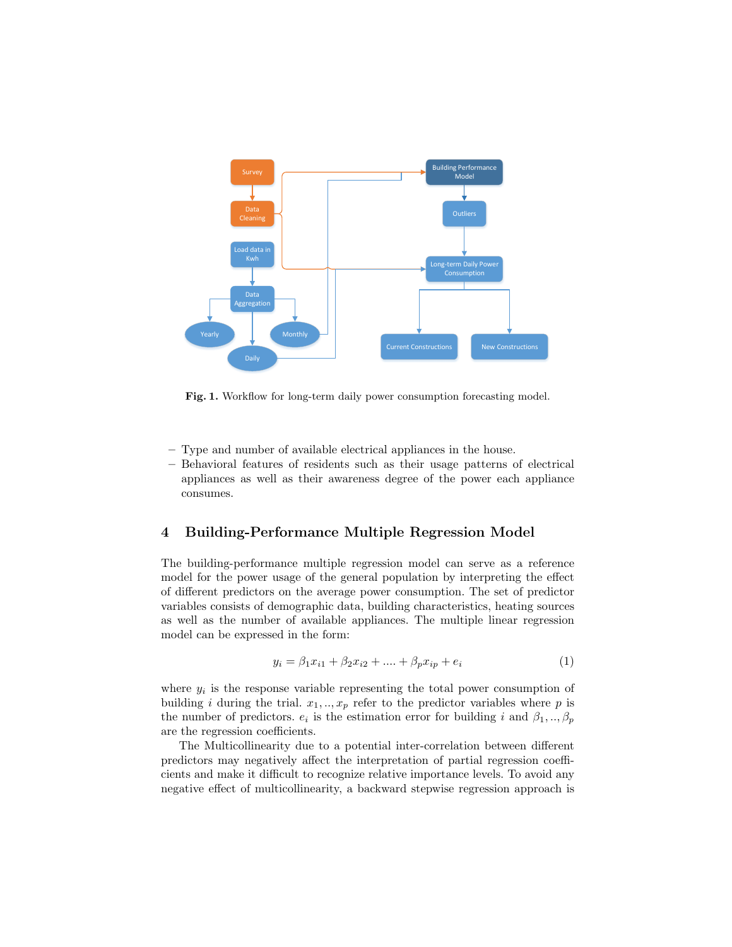

Fig. 1. Workflow for long-term daily power consumption forecasting model.

- Type and number of available electrical appliances in the house.
- Behavioral features of residents such as their usage patterns of electrical appliances as well as their awareness degree of the power each appliance consumes.

#### 4 Building-Performance Multiple Regression Model

The building-performance multiple regression model can serve as a reference model for the power usage of the general population by interpreting the effect of different predictors on the average power consumption. The set of predictor variables consists of demographic data, building characteristics, heating sources as well as the number of available appliances. The multiple linear regression model can be expressed in the form:

$$
y_i = \beta_1 x_{i1} + \beta_2 x_{i2} + \dots + \beta_p x_{ip} + e_i \tag{1}
$$

where  $y_i$  is the response variable representing the total power consumption of building i during the trial.  $x_1, \ldots, x_p$  refer to the predictor variables where p is the number of predictors.  $e_i$  is the estimation error for building i and  $\beta_1, \dots, \beta_p$ are the regression coefficients.

The Multicollinearity due to a potential inter-correlation between different predictors may negatively affect the interpretation of partial regression coefficients and make it difficult to recognize relative importance levels. To avoid any negative effect of multicollinearity, a backward stepwise regression approach is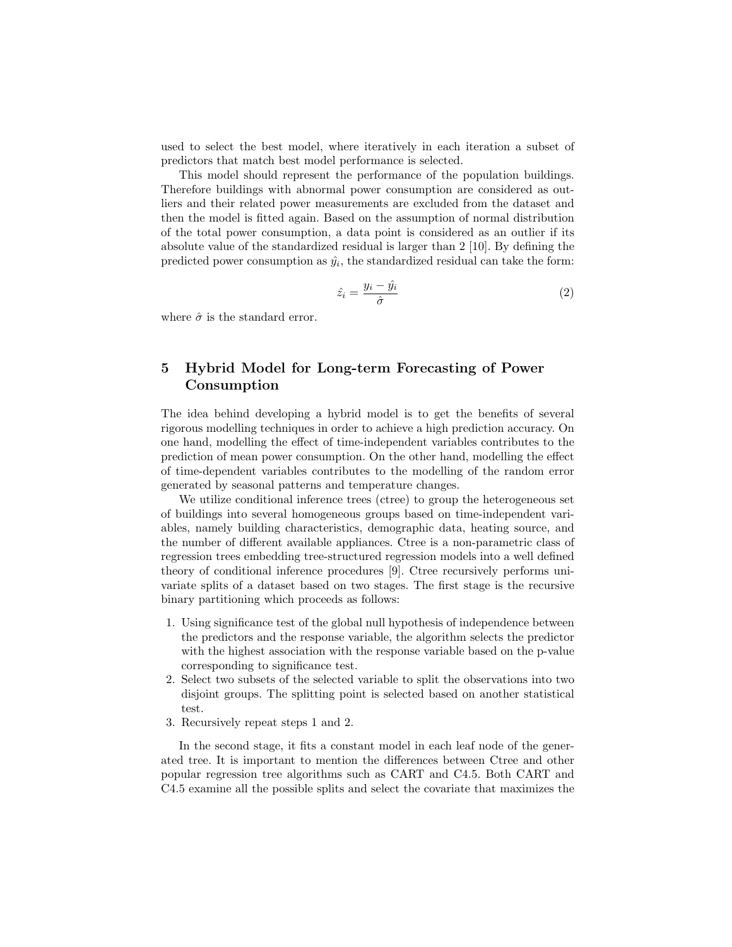used to select the best model, where iteratively in each iteration a subset of predictors that match best model performance is selected.

This model should represent the performance of the population buildings. Therefore buildings with abnormal power consumption are considered as outliers and their related power measurements are excluded from the dataset and then the model is fitted again. Based on the assumption of normal distribution of the total power consumption, a data point is considered as an outlier if its absolute value of the standardized residual is larger than 2 [10]. By defining the predicted power consumption as  $\hat{y}_i$ , the standardized residual can take the form:

$$
\hat{z}_i = \frac{y_i - \hat{y}_i}{\hat{\sigma}}\tag{2}
$$

where  $\hat{\sigma}$  is the standard error.

# 5 Hybrid Model for Long-term Forecasting of Power Consumption

The idea behind developing a hybrid model is to get the benefits of several rigorous modelling techniques in order to achieve a high prediction accuracy. On one hand, modelling the effect of time-independent variables contributes to the prediction of mean power consumption. On the other hand, modelling the effect of time-dependent variables contributes to the modelling of the random error generated by seasonal patterns and temperature changes.

We utilize conditional inference trees (ctree) to group the heterogeneous set of buildings into several homogeneous groups based on time-independent variables, namely building characteristics, demographic data, heating source, and the number of different available appliances. Ctree is a non-parametric class of regression trees embedding tree-structured regression models into a well defined theory of conditional inference procedures [9]. Ctree recursively performs univariate splits of a dataset based on two stages. The first stage is the recursive binary partitioning which proceeds as follows:

- 1. Using significance test of the global null hypothesis of independence between the predictors and the response variable, the algorithm selects the predictor with the highest association with the response variable based on the p-value corresponding to significance test.
- 2. Select two subsets of the selected variable to split the observations into two disjoint groups. The splitting point is selected based on another statistical test.
- 3. Recursively repeat steps 1 and 2.

In the second stage, it fits a constant model in each leaf node of the generated tree. It is important to mention the differences between Ctree and other popular regression tree algorithms such as CART and C4.5. Both CART and C4.5 examine all the possible splits and select the covariate that maximizes the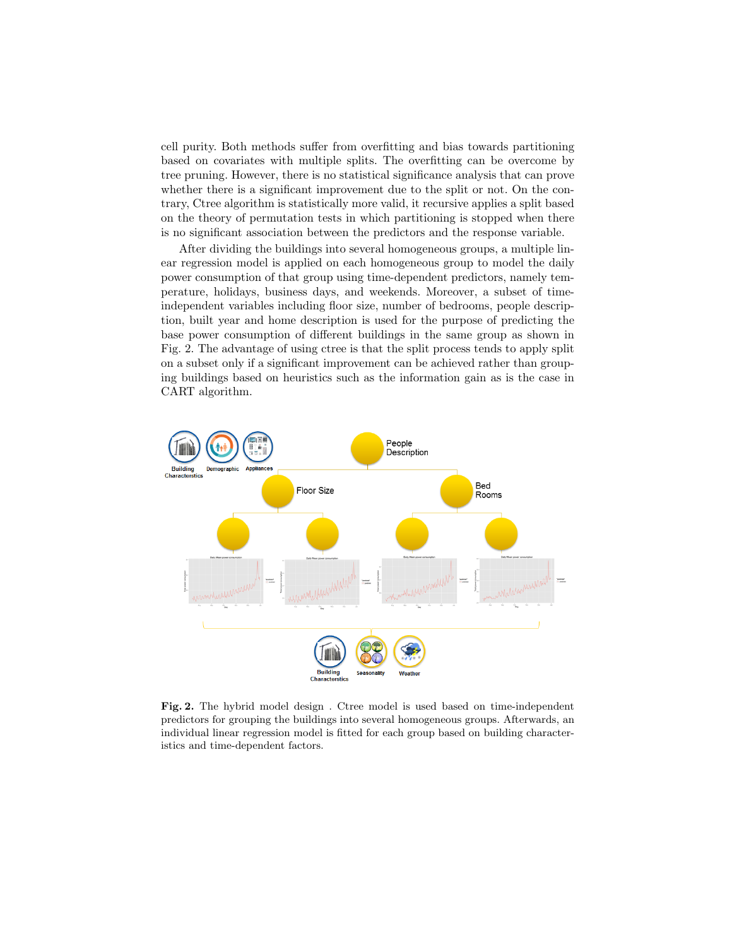cell purity. Both methods suffer from overfitting and bias towards partitioning based on covariates with multiple splits. The overfitting can be overcome by tree pruning. However, there is no statistical significance analysis that can prove whether there is a significant improvement due to the split or not. On the contrary, Ctree algorithm is statistically more valid, it recursive applies a split based on the theory of permutation tests in which partitioning is stopped when there is no significant association between the predictors and the response variable.

After dividing the buildings into several homogeneous groups, a multiple linear regression model is applied on each homogeneous group to model the daily power consumption of that group using time-dependent predictors, namely temperature, holidays, business days, and weekends. Moreover, a subset of timeindependent variables including floor size, number of bedrooms, people description, built year and home description is used for the purpose of predicting the base power consumption of different buildings in the same group as shown in Fig. 2. The advantage of using ctree is that the split process tends to apply split on a subset only if a significant improvement can be achieved rather than grouping buildings based on heuristics such as the information gain as is the case in CART algorithm.



Fig. 2. The hybrid model design . Ctree model is used based on time-independent predictors for grouping the buildings into several homogeneous groups. Afterwards, an individual linear regression model is fitted for each group based on building characteristics and time-dependent factors.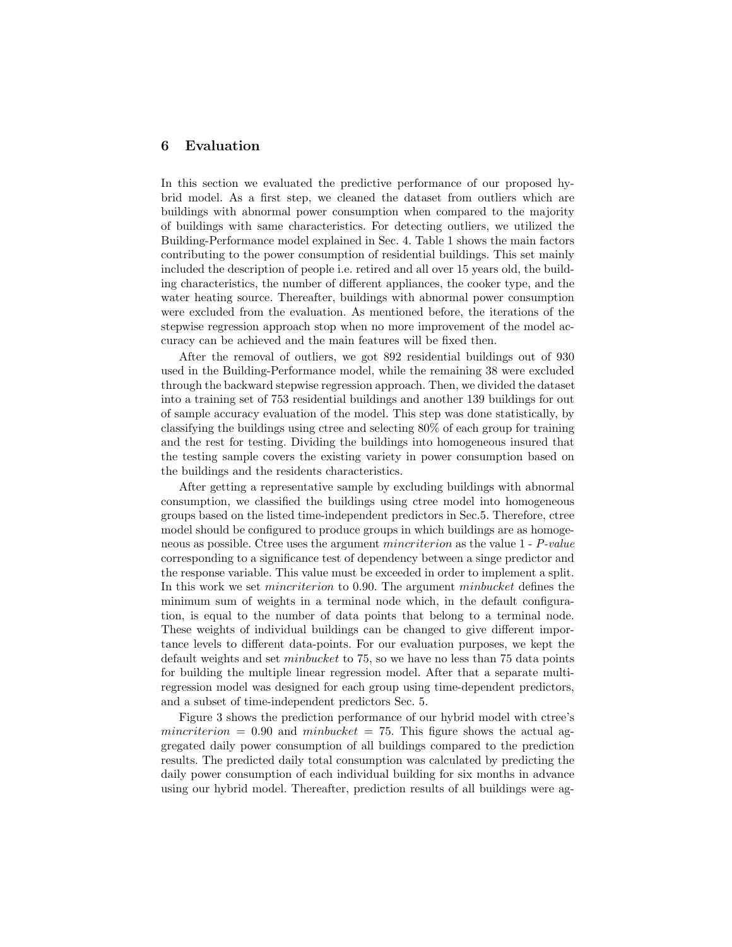## 6 Evaluation

In this section we evaluated the predictive performance of our proposed hybrid model. As a first step, we cleaned the dataset from outliers which are buildings with abnormal power consumption when compared to the majority of buildings with same characteristics. For detecting outliers, we utilized the Building-Performance model explained in Sec. 4. Table 1 shows the main factors contributing to the power consumption of residential buildings. This set mainly included the description of people i.e. retired and all over 15 years old, the building characteristics, the number of different appliances, the cooker type, and the water heating source. Thereafter, buildings with abnormal power consumption were excluded from the evaluation. As mentioned before, the iterations of the stepwise regression approach stop when no more improvement of the model accuracy can be achieved and the main features will be fixed then.

After the removal of outliers, we got 892 residential buildings out of 930 used in the Building-Performance model, while the remaining 38 were excluded through the backward stepwise regression approach. Then, we divided the dataset into a training set of 753 residential buildings and another 139 buildings for out of sample accuracy evaluation of the model. This step was done statistically, by classifying the buildings using ctree and selecting 80% of each group for training and the rest for testing. Dividing the buildings into homogeneous insured that the testing sample covers the existing variety in power consumption based on the buildings and the residents characteristics.

After getting a representative sample by excluding buildings with abnormal consumption, we classified the buildings using ctree model into homogeneous groups based on the listed time-independent predictors in Sec.5. Therefore, ctree model should be configured to produce groups in which buildings are as homogeneous as possible. Ctree uses the argument mincriterion as the value 1 - P-value corresponding to a significance test of dependency between a singe predictor and the response variable. This value must be exceeded in order to implement a split. In this work we set *mincriterion* to 0.90. The argument *minbucket* defines the minimum sum of weights in a terminal node which, in the default configuration, is equal to the number of data points that belong to a terminal node. These weights of individual buildings can be changed to give different importance levels to different data-points. For our evaluation purposes, we kept the default weights and set minbucket to 75, so we have no less than 75 data points for building the multiple linear regression model. After that a separate multiregression model was designed for each group using time-dependent predictors, and a subset of time-independent predictors Sec. 5.

Figure 3 shows the prediction performance of our hybrid model with ctree's mincriterion = 0.90 and minbucket = 75. This figure shows the actual aggregated daily power consumption of all buildings compared to the prediction results. The predicted daily total consumption was calculated by predicting the daily power consumption of each individual building for six months in advance using our hybrid model. Thereafter, prediction results of all buildings were ag-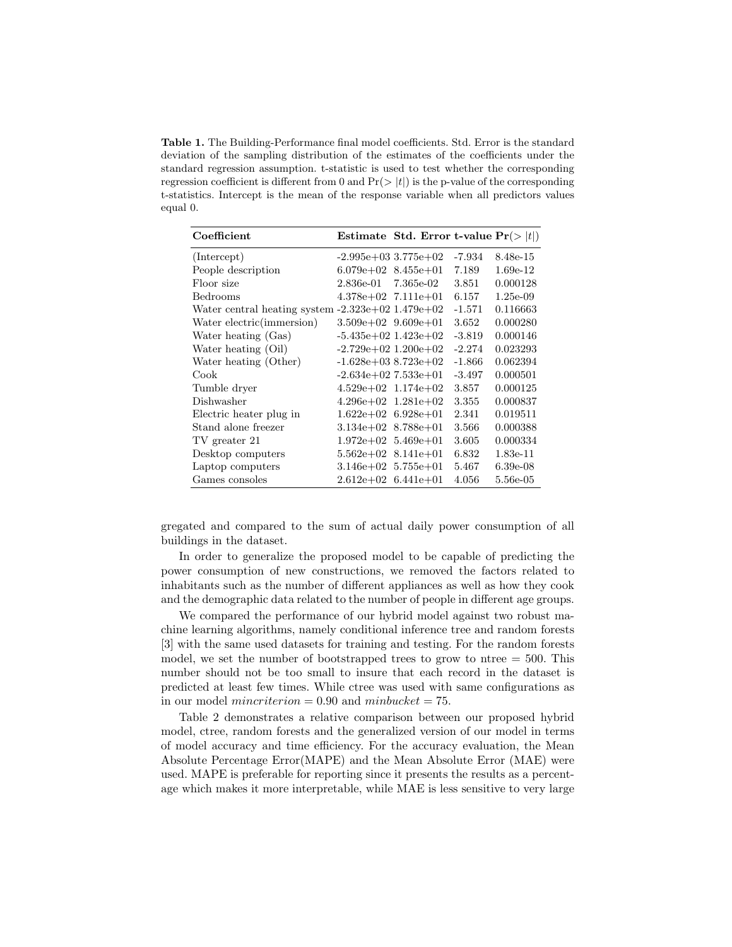Table 1. The Building-Performance final model coefficients. Std. Error is the standard deviation of the sampling distribution of the estimates of the coefficients under the standard regression assumption. t-statistic is used to test whether the corresponding regression coefficient is different from 0 and  $Pr(>|t|)$  is the p-value of the corresponding t-statistics. Intercept is the mean of the response variable when all predictors values equal 0.

| Coefficient                                            |                          | Estimate Std. Error t-value $Pr(> t )$ |          |            |
|--------------------------------------------------------|--------------------------|----------------------------------------|----------|------------|
| (Intercept)                                            | $-2.995e+033.775e+02$    |                                        | $-7.934$ | 8.48e-15   |
| People description                                     | $6.079e+02$ 8.455e + 01  |                                        | 7.189    | 1.69e-12   |
| Floor size                                             | 2.836e-01 7.365e-02      |                                        | 3.851    | 0.000128   |
| Bedrooms                                               | $4.378e+02$ $7.111e+01$  |                                        | 6.157    | $1.25e-09$ |
| Water central heating system $-2.323e+02$ 1.479 $e+02$ |                          |                                        | $-1.571$ | 0.116663   |
| Water electric (immersion)                             | $3.509e+02$ $9.609e+01$  |                                        | 3.652    | 0.000280   |
| Water heating (Gas)                                    | $-5.435e+02$ 1.423e+02   |                                        | $-3.819$ | 0.000146   |
| Water heating (Oil)                                    | $-2.729e+02$ 1.200e+02   |                                        | $-2.274$ | 0.023293   |
| Water heating (Other)                                  | $-1.628e+038.723e+02$    |                                        | $-1.866$ | 0.062394   |
| Cook                                                   | $-2.634e+027.533e+01$    |                                        | $-3.497$ | 0.000501   |
| Tumble dryer                                           | $4.529e+02$ $1.174e+02$  |                                        | 3.857    | 0.000125   |
| Dishwasher                                             | $4.296e+02$ $1.281e+02$  |                                        | 3.355    | 0.000837   |
| Electric heater plug in                                | $1.622e+02$ 6.928e + 01  |                                        | 2.341    | 0.019511   |
| Stand alone freezer                                    | $3.134e+02$ 8.788e $+01$ |                                        | 3.566    | 0.000388   |
| TV greater 21                                          | $1.972e+02$ 5.469e + 01  |                                        | 3.605    | 0.000334   |
| Desktop computers                                      | $5.562e+02$ $8.141e+01$  |                                        | 6.832    | 1.83e-11   |
| Laptop computers                                       | $3.146e+02$ $5.755e+01$  |                                        | 5.467    | $6.39e-08$ |
| Games consoles                                         | $2.612e+02$ 6.441e+01    |                                        | 4.056    | 5.56e-05   |

gregated and compared to the sum of actual daily power consumption of all buildings in the dataset.

In order to generalize the proposed model to be capable of predicting the power consumption of new constructions, we removed the factors related to inhabitants such as the number of different appliances as well as how they cook and the demographic data related to the number of people in different age groups.

We compared the performance of our hybrid model against two robust machine learning algorithms, namely conditional inference tree and random forests [3] with the same used datasets for training and testing. For the random forests model, we set the number of bootstrapped trees to grow to ntree  $= 500$ . This number should not be too small to insure that each record in the dataset is predicted at least few times. While ctree was used with same configurations as in our model *mincriterion* = 0.90 and *minbucket* = 75.

Table 2 demonstrates a relative comparison between our proposed hybrid model, ctree, random forests and the generalized version of our model in terms of model accuracy and time efficiency. For the accuracy evaluation, the Mean Absolute Percentage Error(MAPE) and the Mean Absolute Error (MAE) were used. MAPE is preferable for reporting since it presents the results as a percentage which makes it more interpretable, while MAE is less sensitive to very large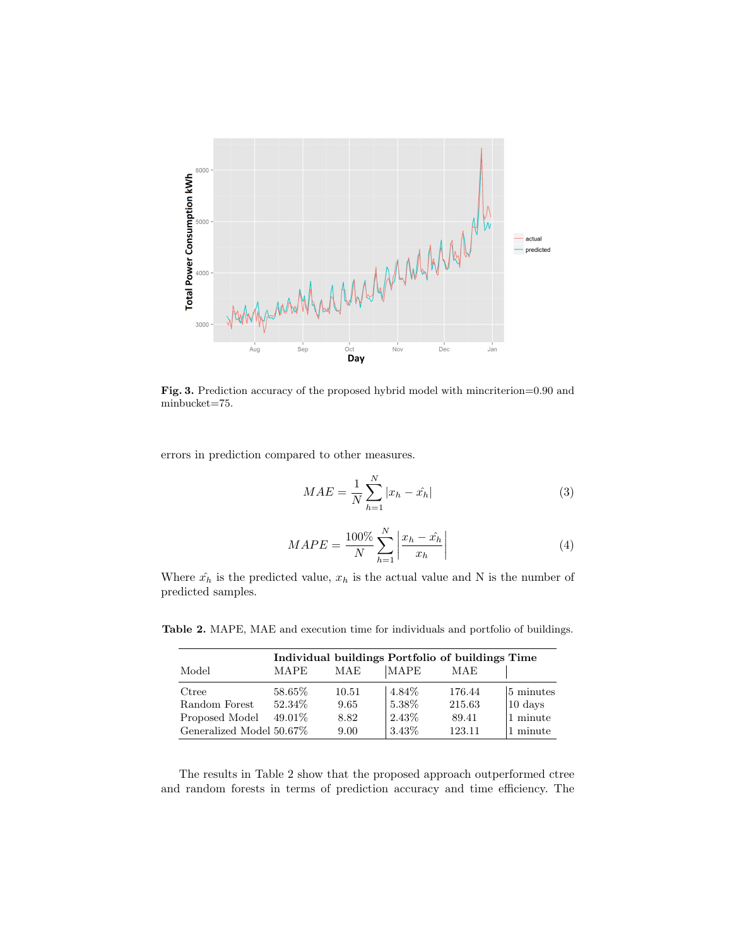

Fig. 3. Prediction accuracy of the proposed hybrid model with mincriterion=0.90 and minbucket=75.

errors in prediction compared to other measures.

$$
MAE = \frac{1}{N} \sum_{h=1}^{N} |x_h - \hat{x_h}|
$$
\n(3)

$$
MAPE = \frac{100\%}{N} \sum_{h=1}^{N} \left| \frac{x_h - \hat{x_h}}{x_h} \right| \tag{4}
$$

Where  $\hat{x_h}$  is the predicted value,  $x_h$  is the actual value and N is the number of predicted samples.

Table 2. MAPE, MAE and execution time for individuals and portfolio of buildings.

| Model                    | MAPE    | MAE   | <b>MAPE</b> | Individual buildings Portfolio of buildings Time<br>MAE |                     |
|--------------------------|---------|-------|-------------|---------------------------------------------------------|---------------------|
| Ctree                    | 58.65%  | 10.51 | 4.84\%      | 176.44                                                  | 5 minutes           |
| Random Forest            | 52.34\% | 9.65  | 5.38%       | 215.63                                                  | $ 10 \text{ days} $ |
| Proposed Model           | 49.01\% | 8.82  | 2.43%       | 89.41                                                   | 1 minute            |
| Generalized Model 50.67% |         | 9.00  | 3.43\%      | 123.11                                                  | 1 minute            |

The results in Table 2 show that the proposed approach outperformed ctree and random forests in terms of prediction accuracy and time efficiency. The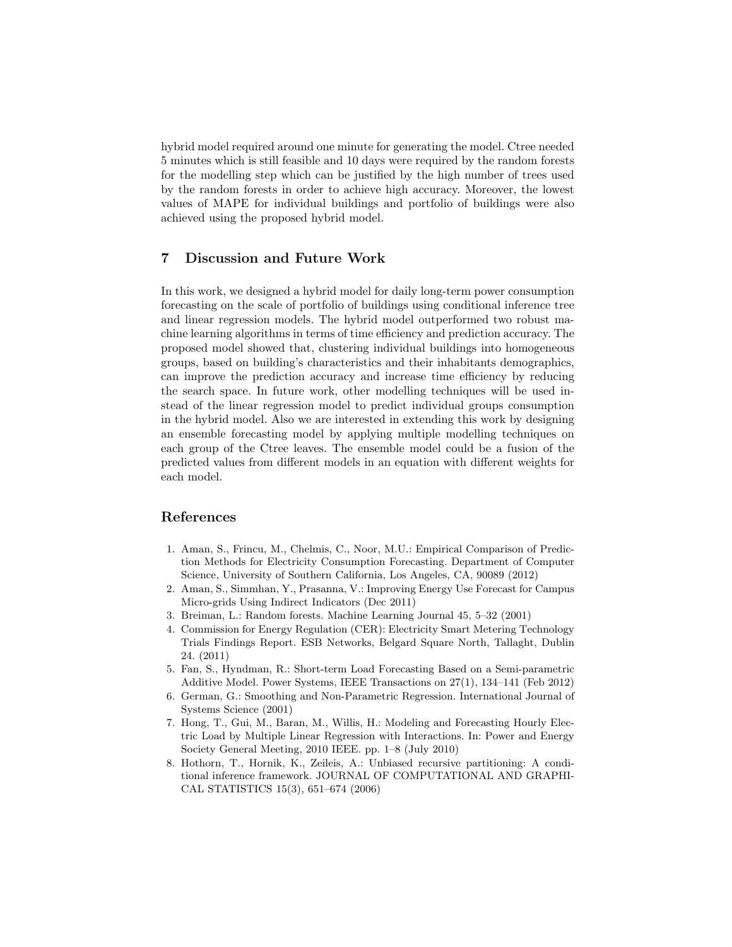hybrid model required around one minute for generating the model. Ctree needed 5 minutes which is still feasible and 10 days were required by the random forests for the modelling step which can be justified by the high number of trees used by the random forests in order to achieve high accuracy. Moreover, the lowest values of MAPE for individual buildings and portfolio of buildings were also achieved using the proposed hybrid model.

# 7 Discussion and Future Work

In this work, we designed a hybrid model for daily long-term power consumption forecasting on the scale of portfolio of buildings using conditional inference tree and linear regression models. The hybrid model outperformed two robust machine learning algorithms in terms of time efficiency and prediction accuracy. The proposed model showed that, clustering individual buildings into homogeneous groups, based on building's characteristics and their inhabitants demographics, can improve the prediction accuracy and increase time efficiency by reducing the search space. In future work, other modelling techniques will be used instead of the linear regression model to predict individual groups consumption in the hybrid model. Also we are interested in extending this work by designing an ensemble forecasting model by applying multiple modelling techniques on each group of the Ctree leaves. The ensemble model could be a fusion of the predicted values from different models in an equation with different weights for each model.

#### References

- 1. Aman, S., Frincu, M., Chelmis, C., Noor, M.U.: Empirical Comparison of Prediction Methods for Electricity Consumption Forecasting. Department of Computer Science, University of Southern California, Los Angeles, CA, 90089 (2012)
- 2. Aman, S., Simmhan, Y., Prasanna, V.: Improving Energy Use Forecast for Campus Micro-grids Using Indirect Indicators (Dec 2011)
- 3. Breiman, L.: Random forests. Machine Learning Journal 45, 5–32 (2001)
- 4. Commission for Energy Regulation (CER): Electricity Smart Metering Technology Trials Findings Report. ESB Networks, Belgard Square North, Tallaght, Dublin 24. (2011)
- 5. Fan, S., Hyndman, R.: Short-term Load Forecasting Based on a Semi-parametric Additive Model. Power Systems, IEEE Transactions on 27(1), 134–141 (Feb 2012)
- 6. German, G.: Smoothing and Non-Parametric Regression. International Journal of Systems Science (2001)
- 7. Hong, T., Gui, M., Baran, M., Willis, H.: Modeling and Forecasting Hourly Electric Load by Multiple Linear Regression with Interactions. In: Power and Energy Society General Meeting, 2010 IEEE. pp. 1–8 (July 2010)
- 8. Hothorn, T., Hornik, K., Zeileis, A.: Unbiased recursive partitioning: A conditional inference framework. JOURNAL OF COMPUTATIONAL AND GRAPHI-CAL STATISTICS 15(3), 651–674 (2006)